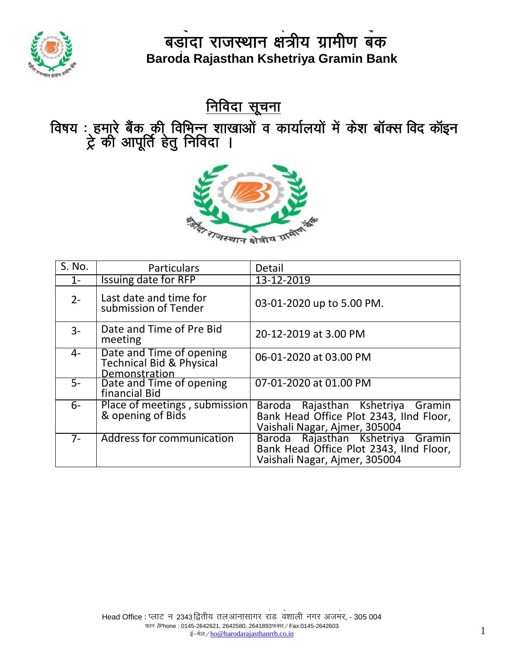

<u>निविदा सूचना</u>

विषय :्हमाूरे बैंक की् विभिन्न शाखाओं व कार्यालयों में केश बॉक्स विद कॉइन ट्रे की आपूर्ति हेतु निविदा ।



| S. No. | <b>Particulars</b>                                                               | Detail                                                                                                        |
|--------|----------------------------------------------------------------------------------|---------------------------------------------------------------------------------------------------------------|
| $1 -$  | Issuing date for RFP                                                             | 13-12-2019                                                                                                    |
| $2 -$  | Last date and time for<br>submission of Tender                                   | 03-01-2020 up to 5.00 PM.                                                                                     |
| $3-$   | Date and Time of Pre Bid<br>meeting                                              | 20-12-2019 at 3.00 PM                                                                                         |
| 4-     | Date and Time of opening<br><b>Technical Bid &amp; Physical</b><br>Demonstration | 06-01-2020 at 03.00 PM                                                                                        |
| $5-$   | Date and Time of opening<br>financial Bid                                        | 07-01-2020 at 01.00 PM                                                                                        |
| 6-     | Place of meetings, submission<br>& opening of Bids                               | Baroda Rajasthan Kshetriya Gramin<br>Bank Head Office Plot 2343, IInd Floor,<br>Vaishali Nagar, Ajmer, 305004 |
| $7-$   | <b>Address for communication</b>                                                 | Baroda Rajasthan Kshetriya Gramin<br>Bank Head Office Plot 2343, IInd Floor,<br>Vaishali Nagar, Ajmer, 305004 |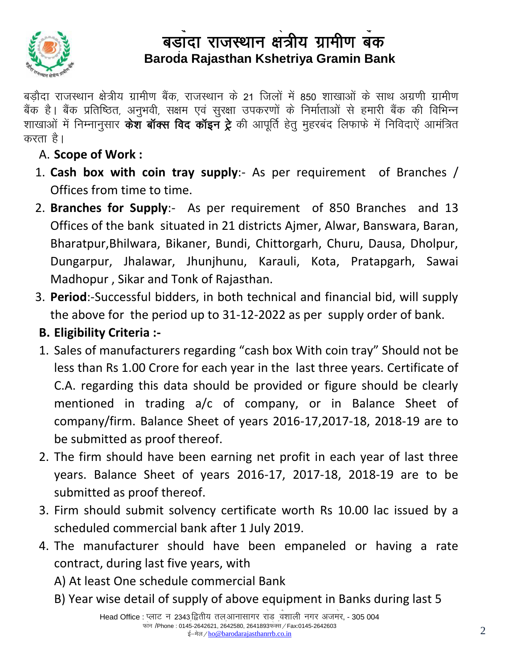

र हैं। से सर से साथ से साथ से साथ से साथ से साथ से प्रेम के लिप में साथ से साथ से साथ से साथ से साथ से साथ से<br>बैंक है। बैंक प्रतिष्ठित, अनुभवी, सक्षम एवं सुरक्षा उपकरणों के निर्माताओं से हमारी बैंक की विभिन्न बड़ौदा राजस्थान क्षेत्रीय ग्रामीण बैंक, राजस्थान के 21 जिलों में 850 शाखाओं के साथ अग्रणी ग्रामीण शाखाओं में निम्नानुसार **केश बॉक्स विद कॉइन ट्रे** की आपूर्ति हेतू मुहरबंद लिफाफे में निविदाऐं आमंत्रित करता है।

- A. **Scope of Work :**
- 1. **Cash box with coin tray supply**:- As per requirement of Branches / Offices from time to time.
- 2. **Branches for Supply**:- As per requirement of 850 Branches and 13 Offices of the bank situated in 21 districts Ajmer, Alwar, Banswara, Baran, Bharatpur,Bhilwara, Bikaner, Bundi, Chittorgarh, Churu, Dausa, Dholpur, Dungarpur, Jhalawar, Jhunjhunu, Karauli, Kota, Pratapgarh, Sawai Madhopur , Sikar and Tonk of Rajasthan.
- 3. **Period**:-Successful bidders, in both technical and financial bid, will supply the above for the period up to 31-12-2022 as per supply order of bank.
- **B. Eligibility Criteria :-**
- 1. Sales of manufacturers regarding "cash box With coin tray" Should not be less than Rs 1.00 Crore for each year in the last three years. Certificate of C.A. regarding this data should be provided or figure should be clearly mentioned in trading a/c of company, or in Balance Sheet of company/firm. Balance Sheet of years 2016-17,2017-18, 2018-19 are to be submitted as proof thereof.
- 2. The firm should have been earning net profit in each year of last three years. Balance Sheet of years 2016-17, 2017-18, 2018-19 are to be submitted as proof thereof.
- 3. Firm should submit solvency certificate worth Rs 10.00 lac issued by a scheduled commercial bank after 1 July 2019.
- 4. The manufacturer should have been empaneled or having a rate contract, during last five years, with

A) At least One schedule commercial Bank

B) Year wise detail of supply of above equipment in Banks during last 5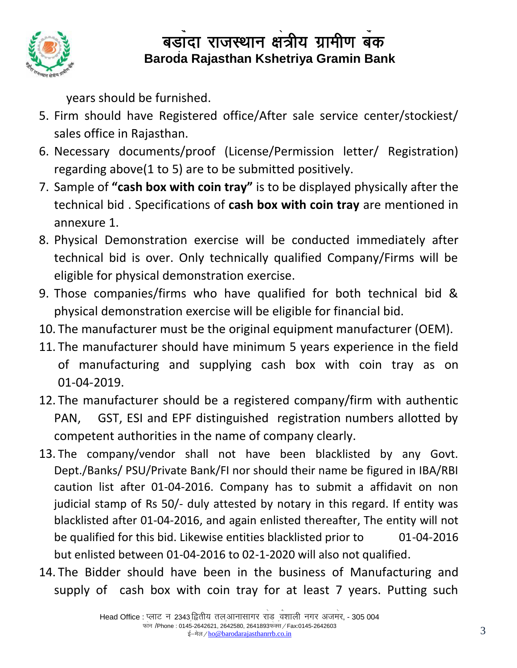

years should be furnished.

- 5. Firm should have Registered office/After sale service center/stockiest/ sales office in Rajasthan.
- 6. Necessary documents/proof (License/Permission letter/ Registration) regarding above(1 to 5) are to be submitted positively.
- 7. Sample of **"cash box with coin tray"** is to be displayed physically after the technical bid . Specifications of **cash box with coin tray** are mentioned in annexure 1.
- 8. Physical Demonstration exercise will be conducted immediately after technical bid is over. Only technically qualified Company/Firms will be eligible for physical demonstration exercise.
- 9. Those companies/firms who have qualified for both technical bid & physical demonstration exercise will be eligible for financial bid.
- 10. The manufacturer must be the original equipment manufacturer (OEM).
- 11. The manufacturer should have minimum 5 years experience in the field of manufacturing and supplying cash box with coin tray as on 01-04-2019.
- 12. The manufacturer should be a registered company/firm with authentic PAN, GST, ESI and EPF distinguished registration numbers allotted by competent authorities in the name of company clearly.
- 13. The company/vendor shall not have been blacklisted by any Govt. Dept./Banks/ PSU/Private Bank/FI nor should their name be figured in IBA/RBI caution list after 01-04-2016. Company has to submit a affidavit on non judicial stamp of Rs 50/- duly attested by notary in this regard. If entity was blacklisted after 01-04-2016, and again enlisted thereafter, The entity will not be qualified for this bid. Likewise entities blacklisted prior to 01-04-2016 but enlisted between 01-04-2016 to 02-1-2020 will also not qualified.
- 14. The Bidder should have been in the business of Manufacturing and supply of cash box with coin tray for at least 7 years. Putting such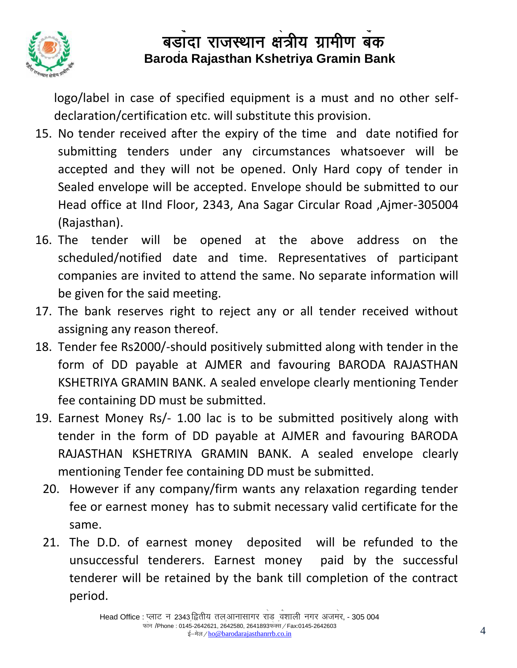

logo/label in case of specified equipment is a must and no other self-S (Sponsored by Bank of Baroda) declaration/certification etc. will substitute this provision.

- 15. No tender received after the expiry of the time and date notified for submitting tenders under any circumstances whatsoever will be accepted and they will not be opened. Only Hard copy of tender in Sealed envelope will be accepted. Envelope should be submitted to our Head office at IInd Floor, 2343, Ana Sagar Circular Road ,Ajmer-305004 (Rajasthan).
- 16. The tender will be opened at the above address on the scheduled/notified date and time. Representatives of participant companies are invited to attend the same. No separate information will be given for the said meeting.
- 17. The bank reserves right to reject any or all tender received without assigning any reason thereof.
- 18. Tender fee Rs2000/-should positively submitted along with tender in the form of DD payable at AJMER and favouring BARODA RAJASTHAN KSHETRIYA GRAMIN BANK. A sealed envelope clearly mentioning Tender fee containing DD must be submitted.
- 19. Earnest Money Rs/- 1.00 lac is to be submitted positively along with tender in the form of DD payable at AJMER and favouring BARODA RAJASTHAN KSHETRIYA GRAMIN BANK. A sealed envelope clearly mentioning Tender fee containing DD must be submitted.
	- 20. However if any company/firm wants any relaxation regarding tender fee or earnest money has to submit necessary valid certificate for the same.
	- 21. The D.D. of earnest money deposited will be refunded to the unsuccessful tenderers. Earnest money paid by the successful tenderer will be retained by the bank till completion of the contract period.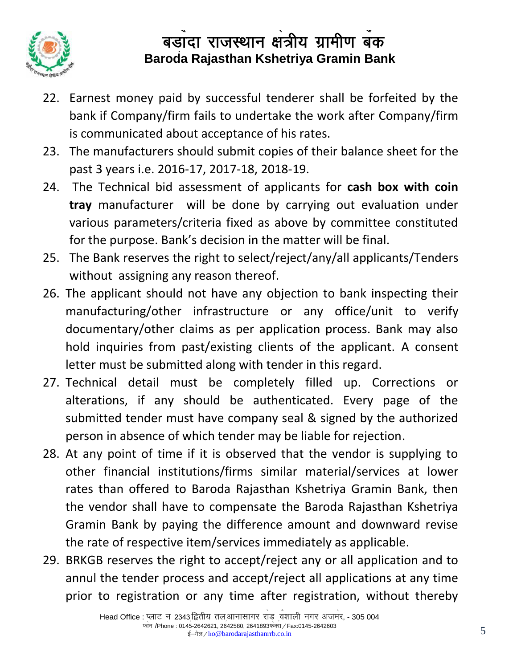

- 22. Earnest money paid by successful tenderer shall be forfeited by the bank if Company/firm fails to undertake the work after Company/firm is communicated about acceptance of his rates.
- 23. The manufacturers should submit copies of their balance sheet for the past 3 years i.e. 2016-17, 2017-18, 2018-19.
- 24. The Technical bid assessment of applicants for **cash box with coin tray** manufacturer will be done by carrying out evaluation under various parameters/criteria fixed as above by committee constituted for the purpose. Bank's decision in the matter will be final.
- 25. The Bank reserves the right to select/reject/any/all applicants/Tenders without assigning any reason thereof.
- 26. The applicant should not have any objection to bank inspecting their manufacturing/other infrastructure or any office/unit to verify documentary/other claims as per application process. Bank may also hold inquiries from past/existing clients of the applicant. A consent letter must be submitted along with tender in this regard.
- 27. Technical detail must be completely filled up. Corrections or alterations, if any should be authenticated. Every page of the submitted tender must have company seal & signed by the authorized person in absence of which tender may be liable for rejection.
- 28. At any point of time if it is observed that the vendor is supplying to other financial institutions/firms similar material/services at lower rates than offered to Baroda Rajasthan Kshetriya Gramin Bank, then the vendor shall have to compensate the Baroda Rajasthan Kshetriya Gramin Bank by paying the difference amount and downward revise the rate of respective item/services immediately as applicable.
- 29. BRKGB reserves the right to accept/reject any or all application and to annul the tender process and accept/reject all applications at any time prior to registration or any time after registration, without thereby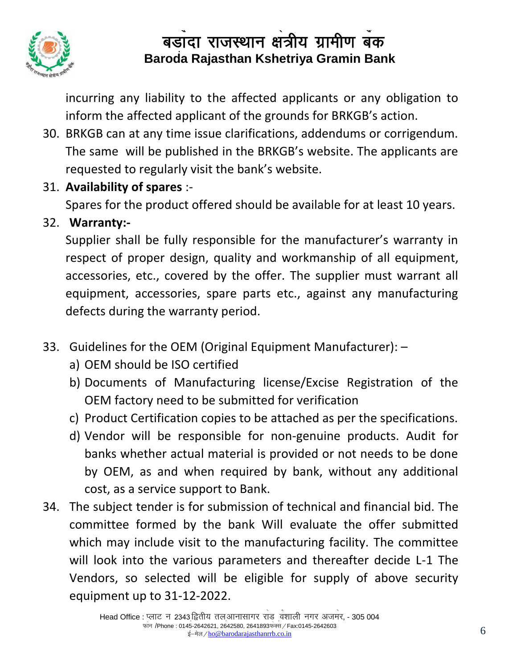

incurring any liability to the affected applicants or any obligation to S inform the affected applicant of the grounds for BRKGB's action.

- 30. BRKGB can at any time issue clarifications, addendums or corrigendum. The same will be published in the BRKGB's website. The applicants are requested to regularly visit the bank's website.
- 31. **Availability of spares** :-

Spares for the product offered should be available for at least 10 years.

32. **Warranty:-**

Supplier shall be fully responsible for the manufacturer's warranty in respect of proper design, quality and workmanship of all equipment, accessories, etc., covered by the offer. The supplier must warrant all equipment, accessories, spare parts etc., against any manufacturing defects during the warranty period.

- 33. Guidelines for the OEM (Original Equipment Manufacturer):
	- a) OEM should be ISO certified
	- b) Documents of Manufacturing license/Excise Registration of the OEM factory need to be submitted for verification
	- c) Product Certification copies to be attached as per the specifications.
	- d) Vendor will be responsible for non-genuine products. Audit for banks whether actual material is provided or not needs to be done by OEM, as and when required by bank, without any additional cost, as a service support to Bank.
- 34. The subject tender is for submission of technical and financial bid. The committee formed by the bank Will evaluate the offer submitted which may include visit to the manufacturing facility. The committee will look into the various parameters and thereafter decide L-1 The Vendors, so selected will be eligible for supply of above security equipment up to 31-12-2022.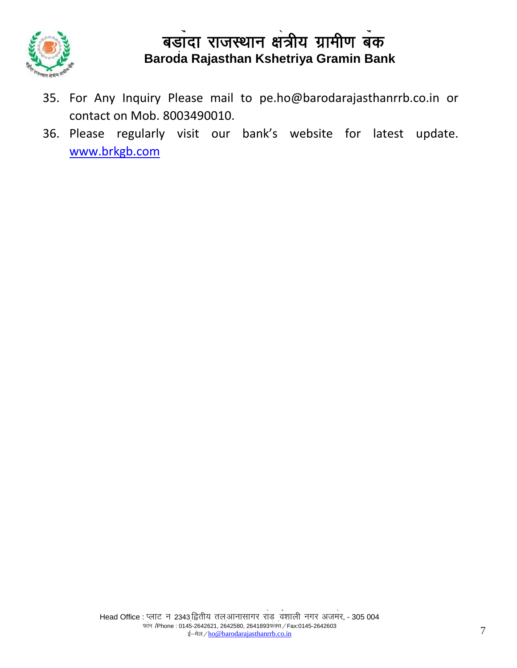

- 35. For Any Inquiry Please mail to [pe.ho@barodarajasthanrrb.co.in](mailto:pe.ho@barodarajasthanrrb.co.in) or S contact on Mob. 8003490010.
- 36. Please regularly visit our bank's website for latest update. [www.brkgb.com](http://www.brkgb.com/)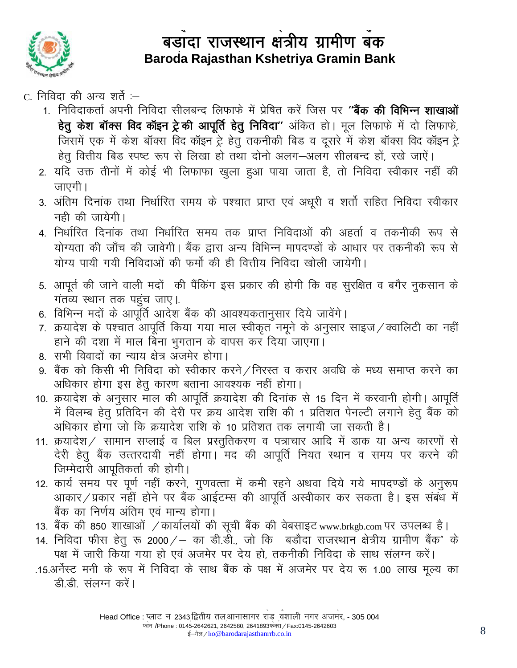- C. निविदा की अन्य शर्ते :-
	- 1. निविदाकर्ता अपनी निविदा सीलबन्द लिफाफे में प्रेषित करें जिस पर **''बैंक की विभिन्न शाखाओं** हेतू केश बॉक्स विद कॉइन ट्रे की आपूर्ति हेतू निविदा" अंकित हो। मूल लिफाफे में दो लिफाफे, जिसमें एक में केश बॉक्स विद कॉइन ट्रे हेतु तकनीकी बिड व दूसरे में केश बॉक्स विद कॉइन ट्रे हेतू वित्तीय बिड स्पष्ट रूप से लिखा हो तथा दोनो अलग-अलग सीलबन्द हों, रखे जाएें।
	- 2. यदि उक्त तीनों में कोई भी लिफाफा खुला हुआ पाया जाता है, तो निविदा स्वीकार नहीं की जाएगी ।
	- 3. अंतिम दिनांक तथा निर्धारित समय के पश्चात प्राप्त एवं अधूरी व शर्तो सहित निविदा स्वीकार नही की जायेगी।
	- 4. निर्धारित दिनांक तथा निर्धारित समय तक प्राप्त निविदाओं की अहर्ता व तकनीकी रूप से योग्यता की जाँच की जावेगी। बैंक द्वारा अन्य विभिन्न मापदण्डों के आधार पर तकनीकी रूप से योग्य पायी गयी निविदाओं की फर्मो की ही वित्तीय निविदा खोली जायेगी।
	- 5. आपूर्त की जाने वाली मदों की पैंकिंग इस प्रकार की होगी कि वह सुरक्षित व बगैर नुकसान के गंतव्य स्थान तक पहुंच जाए।
	- 6. विभिन्न मदों के आपूर्ति आदेश बैंक की आवश्यकतानुसार दिये जावेंगे।
	- 7. क्रयादेश के पश्चात आपूर्ति किया गया माल स्वीकृत नमूने के अनुसार साइज / क्वालिटी का नहीं हाने की दशा में माल बिना भुगतान के वापस कर दिया जाएगा।
	- 8. सभी विवादों का न्याय क्षेत्र अंजमेर होगा।
	- 9. बैंक को किसी भी निविदा को स्वीकार करने / निरस्त व करार अवधि के मध्य समाप्त करने का अधिकार होगा इस हेतू कारण बताना आवश्यक नहीं होगा।
	- 10. क्रयादेश के अनुसार माल की आपूर्ति क्रयादेश की दिनांक से 15 दिन में करवानी होगी। आपूर्ति में विलम्ब हेतु प्रतिदिन की देरी पर क्रय आदेश राशि की 1 प्रतिशत पेनल्टी लगाने हेतु बैंक को अधिकार होगा जो कि क्रयादेश राशि के 10 प्रतिशत तक लगायी जा सकती है।
	- 11. क्रयादेश / सामान सप्लाई व बिल प्रस्तुतिकरण व पत्राचार आदि में डाक या अन्य कारणों से देरी हेतु बैंक उत्तरदायी नहीं होगा। मद की आपूर्ति नियत स्थान व समय पर करने की जिम्मेदारी आपुतिकर्ता की होगी।
	- 12. कार्य समय पर पूर्ण नहीं करने, गुणवत्ता में कमी रहने अथवा दिये गये मापदण्डों के अनुरूप आकार/प्रकार नहीं होने पर बैंक आईटम्स की आपूर्ति अस्वीकार कर सकता है। इस संबंध में बैंक का निर्णय अंतिम एवं मान्य होगा।
	- 13. बैंक की 850 शाखाओं / कार्यालयों की सूची बैंक की वेबसाइट www.brkgb.com पर उपलब्ध है।
	- 14. निविदा फीस हेतु रू 2000 / का डी.डी., जो कि बड़ौदा राजस्थान क्षेत्रीय ग्रामीण बैंक" के पक्ष में जारी किया गया हो एवं अजमेर पर देय हो, तकनीकी निविदा के साथ संलग्न करें।
	- .15.अर्नेस्ट मनी के रूप में निविदा के साथ बैंक के पक्ष में अजमेर पर देय रू 1.00 लाख मूल्य का डी.डी. संलग्न करें।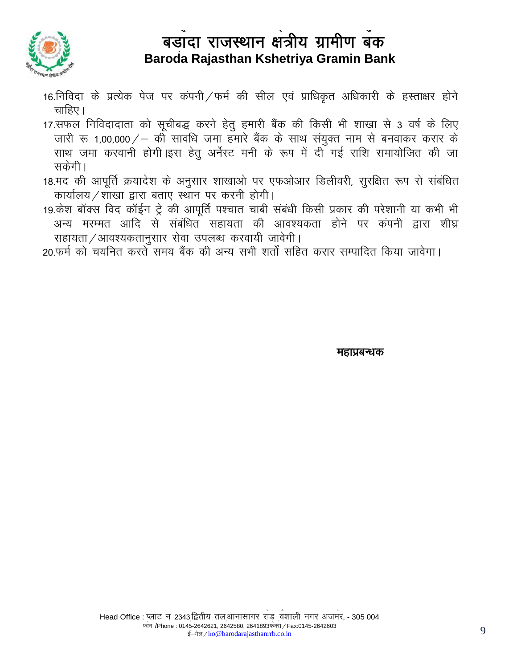

- 16.निविदा के प्रत्येक पेज पर कंपनी / फर्म की सील एवं प्राधिकृत अधिकारी के हस्ताक्षर होने चाहिए।
- 17.सफल निविदादाता को सूचीबद्ध करने हेतू हमारी बैंक की किसी भी शाखा से 3 वर्ष के लिए जारी रू 1,00,000/ – को सावधि जमा हँमारे बैंक के साथ संयुक्त नाम से बनवाकर करार के साथ जमा करवानी होगी।इस हेतू अर्नेस्ट मनी के रूप में दी गई राशि समायोजित की जा सकेगी।
- 18.मद की आपूर्ति क्रयादेश के अनुसार शाखाओ पर एफओआर डिलीवरी, सुरक्षित रूप से संबंधित कार्यालय / शाखा द्वारा बताए स्थान पर करनी होगी।
- 19.केश बॉक्स विद कॉईन ट्रे की आपूर्ति पश्चात चाबी संबंधी किसी प्रकार की परेशानी या कभी भी अन्य मरम्मत आदि से संबंधित सहायता की आवश्यकता होने पर कंपनी द्वारा शीघ्र सहायता /आवश्यकतानसार सेवा उपलब्ध करवायी जावेगी।
- 20.फर्म को चयनित करते समय बैंक की अन्य सभी शर्तों सहित करार सम्पादित किया जावेगा।

महाप्रबन्धक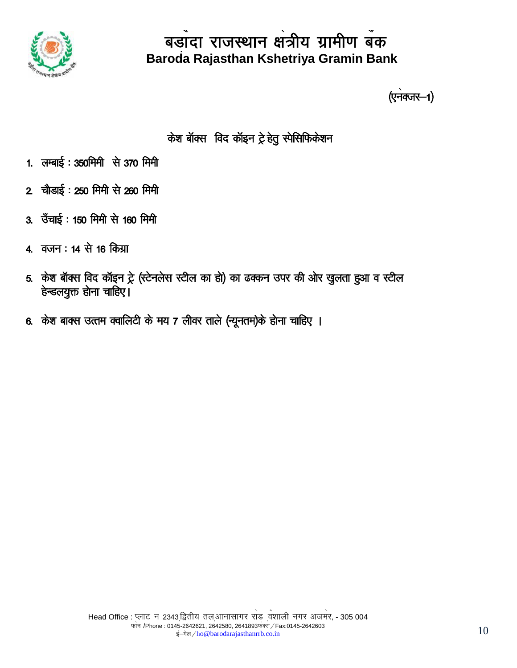

(एनक्जर-1)

केश बॉक्स विद कॉइन ट्रे हेतु स्पेसिफिकेशन

- 1. लम्बाई : 350मिमी से 370 मिमी
- 2 चौडाई: 250 मिमी से 260 मिमी
- 3. उँचाई: 150 मिमी से 160 मिमी
- 4. वजन: 14 से 16 किय्रा
- 5. केश बॉक्स विद कॉइन ट्रे (स्टेनलेस स्टील का हो) का ढक्कन उपर की ओर खुलता हुआ व स्टील हेन्डलयुक्त होना चाहिए।
- 6. केश बाक्स उत्तम क्वालिटी के मय 7 लीवर ताले (न्यूनतम)के होना चाहिए ।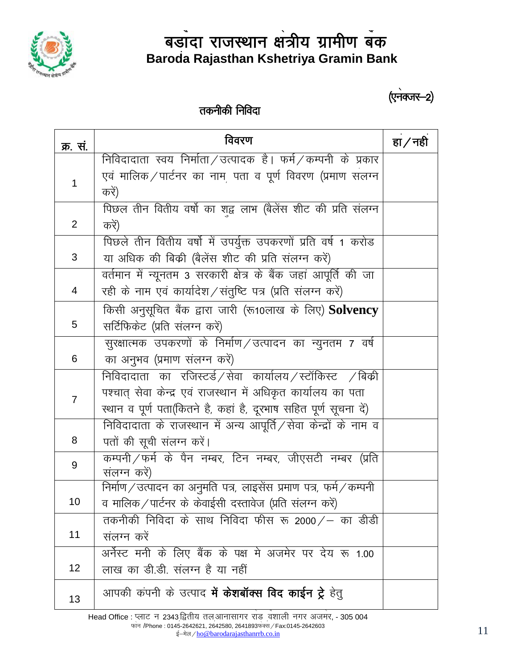

 $($ एनक्जर-2)

### तकनीकी निविदा

| क्र. सं.       | विवरण                                                                | हा $/$ नही |  |  |
|----------------|----------------------------------------------------------------------|------------|--|--|
|                | निविदादाता स्वय निर्माता / उत्पादक है। फर्म / कम्पनी के प्रकार       |            |  |  |
| 1              | एवं मालिक / पार्टनर का नाम पता व पूर्ण विवरण (प्रमाण सलग्न           |            |  |  |
|                | करें)                                                                |            |  |  |
|                | पिछल तीन वितीय वर्षो का शद्व लाभ (बैलेंस शीट की प्रति संलग्न         |            |  |  |
| $\overline{2}$ | करें)                                                                |            |  |  |
|                | पिछले तीन वितीय वर्षो में उपर्युक्त उपकरणों प्रति वर्ष 1 करोड        |            |  |  |
| 3              | या अधिक की बिक्री (बैलेंस शीट की प्रति संलग्न करें)                  |            |  |  |
|                | वर्तमान में न्यूनतम 3 सरकारी क्षेत्र के बैंक जहां आपूर्ति की जा      |            |  |  |
| 4              | रही के नाम एवं कार्यादेश/संतुष्टि पत्र (प्रति संलग्न करें)           |            |  |  |
| 5              | किसी अनुसूचित बैंक द्वारा जारी (रू10लाख के लिए) <b>Solvency</b>      |            |  |  |
|                | सर्टिफिकेट (प्रति संलग्न करें)                                       |            |  |  |
|                | सुरक्षात्मक उपकरणों के निर्माण ⁄ उत्पादन का न्युनतम 7 वर्ष           |            |  |  |
| 6              | का अनुभव (प्रमाण संलग्न करें)                                        |            |  |  |
| $\overline{7}$ | निविदादाता का रजिस्टर्ड /सेवा कार्यालय /स्टॉकिस्ट /बिक्री            |            |  |  |
|                | पश्चात् सेवा केन्द्र एवं राजस्थान में अधिकृत कार्यालय का पता         |            |  |  |
|                | स्थान व पूर्ण पता(कितने है, कहां है, दूरभाष सहित पूर्ण सूचना दें)    |            |  |  |
|                | निविदादाता के राजस्थान में अन्य आपूर्ति / सेवा केन्द्रों के नाम व    |            |  |  |
| 8              | पतों की सूची संलग्न करें।                                            |            |  |  |
| 9              | कम्पनी / फर्म के पैन नम्बर, टिन नम्बर, जीएसटी नम्बर (प्रति           |            |  |  |
|                | संलग्न करें)                                                         |            |  |  |
|                | निर्माण / उत्पादन का अनुमति पत्र, लाइसेंस प्रमाण पत्र, फर्म / कम्पनी |            |  |  |
| 10             | व मालिक/पार्टनर के केवाईसी दस्तावेज (प्रति संलग्न करें)              |            |  |  |
| 11             | तकनीकी निविदा के साथ निविदा फीस रू 2000 / – का डीडी                  |            |  |  |
|                | संलग्न करें                                                          |            |  |  |
| 12             | अर्नेस्ट मनी के लिए बैंक के पक्ष मे अजमेर पर देय रू 1.00             |            |  |  |
|                | लाख का डी.डी. संलग्न है या नहीं                                      |            |  |  |
| 13             | आपकी कंपनी के उत्पाद <b>में केशबॉक्स विद काईन ट्रे</b> हेतु          |            |  |  |

Head Office : प्लाट न 2343 द्वितीय तलआनासागर राड वंशाली नगर अजमर, - 305 004 फोन /Phone: 0145-2642621, 2642580, 2641893फेक्स / Fax:0145-2642603 ई-मेल/ho@barodarajasthanrrb.co.in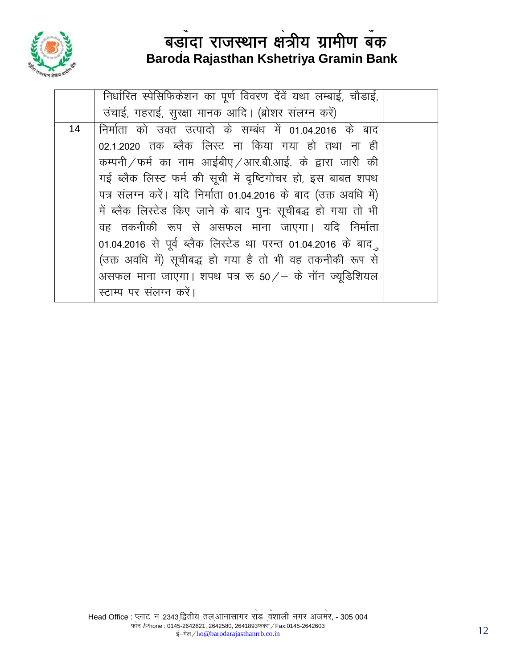

|    | निर्धारित स्पेसिफिकेशन का पूर्ण विवरण देंवें यथा लम्बाई, चौडाई,  |  |
|----|------------------------------------------------------------------|--|
|    | उंचाई, गहराई, सुरक्षा मानक आदि। (ब्रोशर संलग्न करें)             |  |
| 14 | निर्माता को उक्त उत्पादो के सम्बंध में 01.04.2016 के बाद         |  |
|    | 02.1.2020 तक ब्लैक लिस्ट ना किया गया हो तथा ना ही                |  |
|    | कम्पनी / फर्म का नाम आईबीए / आर.बी.आई. के द्वारा जारी की         |  |
|    | गई ब्लैक लिस्ट फर्म की सूची में दृष्टिगोचर हो, इस बाबत शपथ       |  |
|    | पत्र संलग्न करें। यदि निर्माता 01.04.2016 के बाद (उक्त अवधि में) |  |
|    | में ब्लैक लिस्टेड किए जाने के बाद पुनः सूचीबद्ध हो गया तो भी     |  |
|    | वह तकनीकी रूप से असफल माना जाएगा। यदि निर्माता                   |  |
|    | 01.04.2016 से पूर्व ब्लैक लिस्टेड था परन्त 01.04.2016 के बाद     |  |
|    | (उक्त अवधि में) सूचीबद्ध हो गया है तो भी वह तकनीकी रूप से        |  |
|    | असफल माना जाएगा। शपथ पत्र रू 50/ - के नॉन ज्यूडिशियल             |  |
|    | स्टाम्प पर संलग्न करें।                                          |  |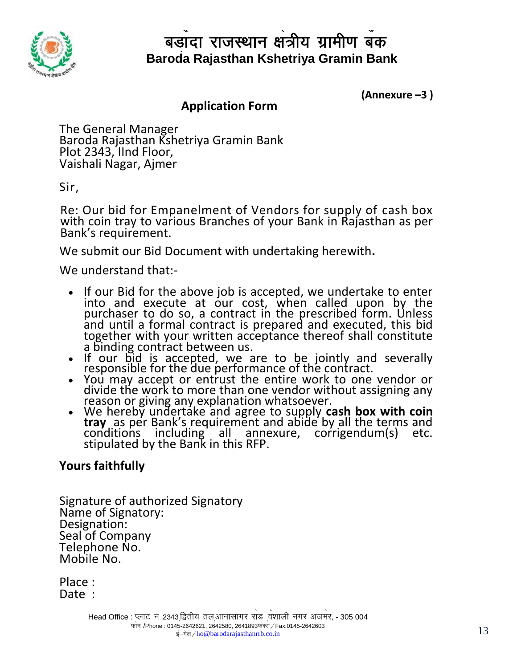

 **(Annexure –3 )**

#### **Application Form** S

The General Manager Baroda Rajasthan Kshetriya Gramin Bank Plot 2343, IInd Floor, Vaishali Nagar, Ajmer

Sir,

Re: Our bid for Empanelment of Vendors for supply of cash box with coin tray to various Branches of your Bank in Rajasthan as per Bank's requirement.

We submit our Bid Document with undertaking herewith**.** 

We understand that:-

- If our Bid for the above job is accepted, we undertake to enter into and execute at our cost, when called upon by the purchaser to do so, a contract in the prescribed form. Unless and until a formal contract is prepared and executed, this bid together with your written acceptance thereof shall constitute a binding contract between us.
- If our bid is accepted, we are to be jointly and severally responsible for the due performance of the contract.
- You may accept or entrust the entire work to one vendor or divide the work to more than one vendor without assigning any reason or giving any explanation whatsoever.
- We hereby undertake and agree to supply **cash box with coin tray** as per Bank's requirement and abide by all the terms and conditions including all annexure, corrigendum(s) etc. stipulated by the Bank in this RFP.

### **Yours faithfully**

Signature of authorized Signatory Name of Signatory: Designation: Seal of Company Telephone No. Mobile No.

Place : Date :